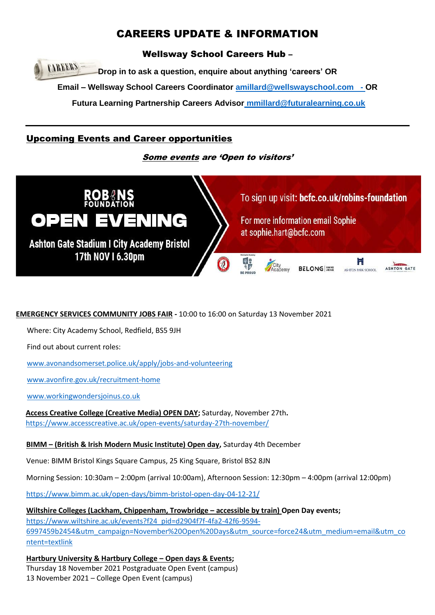# CAREERS UPDATE & INFORMATION

Wellsway School Careers Hub –

**CAREERS Drop in to ask a question, enquire about anything 'careers' OR Email – Wellsway School Careers Coordinator [amillard@wellswayschool.com](mailto:amillard@wellswayschool.com) - OR Futura Learning Partnership Careers Advisor [mmillard@futuralearning.co.uk](mailto:mmillard@futuralearning.co.uk)**

## Upcoming Events and Career opportunities

### Some events are 'Open to visitors'



### **EMERGENCY SERVICES COMMUNITY JOBS FAIR -** 10:00 to 16:00 on Saturday 13 November 2021

Where: City Academy School, Redfield, BS5 9JH

Find out about current roles:

[www.avonandsomerset.police.uk/apply/jobs-and-volunteering](http://www.avonandsomerset.police.uk/apply/jobs-and-volunteering)

[www.avonfire.gov.uk/recruitment-home](http://www.avonfire.gov.uk/recruitment-home)

[www.workingwondersjoinus.co.uk](http://www.workingwondersjoinus.co.uk/)

**Access Creative College (Creative Media) OPEN DAY;** Saturday, November 27th**.**  <https://www.accesscreative.ac.uk/open-events/saturday-27th-november/>

### **BIMM – (British & Irish Modern Music Institute) Open day,** Saturday 4th December

Venue: BIMM Bristol Kings Square Campus, 25 King Square, Bristol BS2 8JN

Morning Session: 10:30am – 2:00pm (arrival 10:00am), Afternoon Session: 12:30pm – 4:00pm (arrival 12:00pm)

<https://www.bimm.ac.uk/open-days/bimm-bristol-open-day-04-12-21/>

**Wiltshire Colleges (Lackham, Chippenham, Trowbridge – accessible by train) Open Day events;**  [https://www.wiltshire.ac.uk/events?f24\\_pid=d2904f7f-4fa2-42f6-9594-](https://www.wiltshire.ac.uk/events?f24_pid=d2904f7f-4fa2-42f6-9594-6997459b2454&utm_campaign=November%20Open%20Days&utm_source=force24&utm_medium=email&utm_content=textlink) [6997459b2454&utm\\_campaign=November%20Open%20Days&utm\\_source=force24&utm\\_medium=email&utm\\_co](https://www.wiltshire.ac.uk/events?f24_pid=d2904f7f-4fa2-42f6-9594-6997459b2454&utm_campaign=November%20Open%20Days&utm_source=force24&utm_medium=email&utm_content=textlink) [ntent=textlink](https://www.wiltshire.ac.uk/events?f24_pid=d2904f7f-4fa2-42f6-9594-6997459b2454&utm_campaign=November%20Open%20Days&utm_source=force24&utm_medium=email&utm_content=textlink)

**Hartbury University & Hartbury College – Open days & Events;**  Thursday 18 November 2021 Postgraduate Open Event (campus) 13 November 2021 – College Open Event (campus)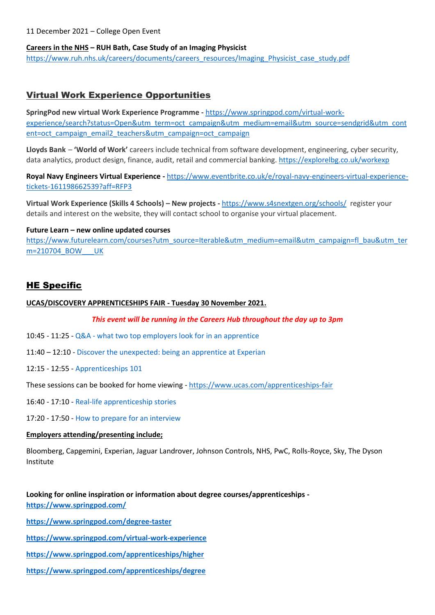11 December 2021 – College Open Event

#### **Careers in the NHS – RUH Bath, Case Study of an Imaging Physicist**

[https://www.ruh.nhs.uk/careers/documents/careers\\_resources/Imaging\\_Physicist\\_case\\_study.pdf](https://www.ruh.nhs.uk/careers/documents/careers_resources/Imaging_Physicist_case_study.pdf)

### Virtual Work Experience Opportunities

**SpringPod new virtual Work Experience Programme -** [https://www.springpod.com/virtual-work](https://www.springpod.com/virtual-work-experience/search?status=Open&utm_term=oct_campaign&utm_medium=email&utm_source=sendgrid&utm_content=oct_campaign_email2_teachers&utm_campaign=oct_campaign)[experience/search?status=Open&utm\\_term=oct\\_campaign&utm\\_medium=email&utm\\_source=sendgrid&utm\\_cont](https://www.springpod.com/virtual-work-experience/search?status=Open&utm_term=oct_campaign&utm_medium=email&utm_source=sendgrid&utm_content=oct_campaign_email2_teachers&utm_campaign=oct_campaign) [ent=oct\\_campaign\\_email2\\_teachers&utm\\_campaign=oct\\_campaign](https://www.springpod.com/virtual-work-experience/search?status=Open&utm_term=oct_campaign&utm_medium=email&utm_source=sendgrid&utm_content=oct_campaign_email2_teachers&utm_campaign=oct_campaign)

**Lloyds Bank** – **'World of Work'** careers include technical from software development, engineering, cyber security, data analytics, product design, finance, audit, retail and commercial banking. <https://explorelbg.co.uk/workexp>

**Royal Navy Engineers Virtual Experience -** [https://www.eventbrite.co.uk/e/royal-navy-engineers-virtual-experience](https://www.eventbrite.co.uk/e/royal-navy-engineers-virtual-experience-tickets-161198662539?aff=RFP3)[tickets-161198662539?aff=RFP3](https://www.eventbrite.co.uk/e/royal-navy-engineers-virtual-experience-tickets-161198662539?aff=RFP3)

**Virtual Work Experience (Skills 4 Schools) – New projects -** <https://www.s4snextgen.org/schools/>register your details and interest on the website, they will contact school to organise your virtual placement.

#### **Future Learn – new online updated courses**

[https://www.futurelearn.com/courses?utm\\_source=Iterable&utm\\_medium=email&utm\\_campaign=fl\\_bau&utm\\_ter](https://www.futurelearn.com/courses?utm_source=Iterable&utm_medium=email&utm_campaign=fl_bau&utm_term=210704_BOW___UK) m=210704\_BOW UK

### HE Specific

#### **UCAS/DISCOVERY APPRENTICESHIPS FAIR - Tuesday 30 November 2021.**

#### *This event will be running in the Careers Hub throughout the day up to 3pm*

10:45 - 11:25 - Q&A - [what two top employers look for in an apprentice](https://www.ucas.com/node/404796/view/agenda/5616#agenda-item-title)

11:40 – 12:10 - [Discover the unexpected: being an apprentice at Experian](https://www.ucas.com/node/404796/view/agenda/5621#agenda-item-title)

12:15 - 12:55 - [Apprenticeships 101](https://www.ucas.com/node/404796/view/agenda/5626#agenda-item-title)

These sessions can be booked for home viewing - <https://www.ucas.com/apprenticeships-fair>

16:40 - 17:10 - [Real-life apprenticeship stories](https://www.ucas.com/node/404796/view/agenda/5631#agenda-item-title)

17:20 - 17:50 - [How to prepare for an interview](https://www.ucas.com/node/404796/view/agenda/5636#agenda-item-title)

#### **Employers attending/presenting include;**

Bloomberg, Capgemini, Experian, Jaguar Landrover, Johnson Controls, NHS, PwC, Rolls-Royce, Sky, The Dyson Institute

**Looking for online inspiration or information about degree courses/apprenticeships <https://www.springpod.com/>**

**<https://www.springpod.com/degree-taster>**

- **<https://www.springpod.com/virtual-work-experience>**
- **<https://www.springpod.com/apprenticeships/higher>**
- **<https://www.springpod.com/apprenticeships/degree>**